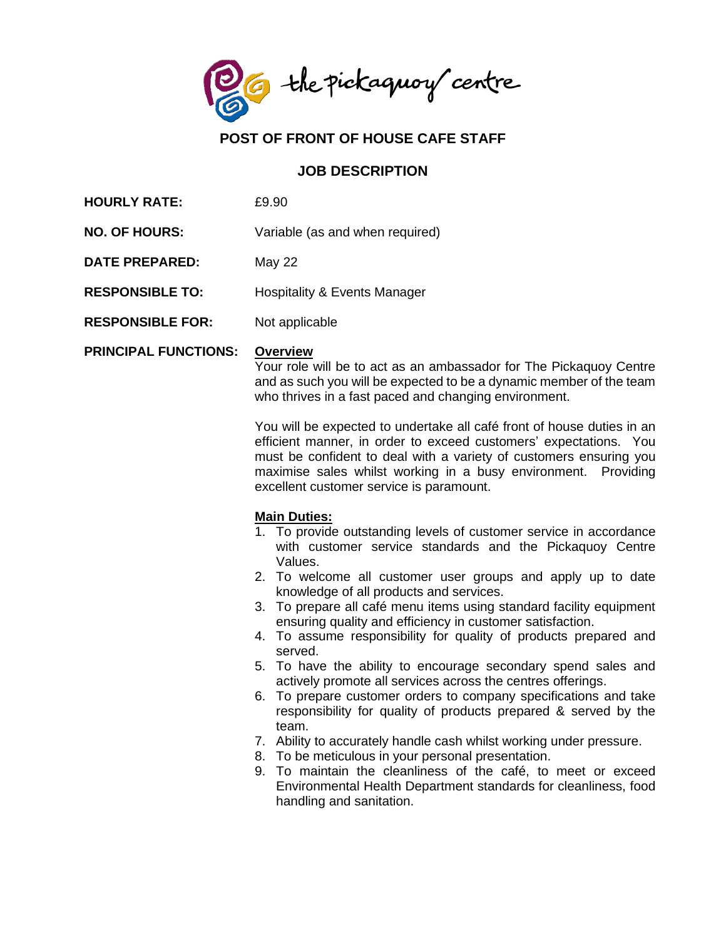the pickaguoy centre

# **POST OF FRONT OF HOUSE CAFE STAFF**

### **JOB DESCRIPTION**

- **HOURLY RATE:** £9.90
- **NO. OF HOURS:** Variable (as and when required)
- **DATE PREPARED:** May 22
- **RESPONSIBLE TO:** Hospitality & Events Manager
- **RESPONSIBLE FOR:** Not applicable

#### **PRINCIPAL FUNCTIONS: Overview**

Your role will be to act as an ambassador for The Pickaquoy Centre and as such you will be expected to be a dynamic member of the team who thrives in a fast paced and changing environment.

You will be expected to undertake all café front of house duties in an efficient manner, in order to exceed customers' expectations. You must be confident to deal with a variety of customers ensuring you maximise sales whilst working in a busy environment. Providing excellent customer service is paramount.

#### **Main Duties:**

- 1. To provide outstanding levels of customer service in accordance with customer service standards and the Pickaquoy Centre Values.
- 2. To welcome all customer user groups and apply up to date knowledge of all products and services.
- 3. To prepare all café menu items using standard facility equipment ensuring quality and efficiency in customer satisfaction.
- 4. To assume responsibility for quality of products prepared and served.
- 5. To have the ability to encourage secondary spend sales and actively promote all services across the centres offerings.
- 6. To prepare customer orders to company specifications and take responsibility for quality of products prepared & served by the team.
- 7. Ability to accurately handle cash whilst working under pressure.
- 8. To be meticulous in your personal presentation.
- 9. To maintain the cleanliness of the café, to meet or exceed Environmental Health Department standards for cleanliness, food handling and sanitation.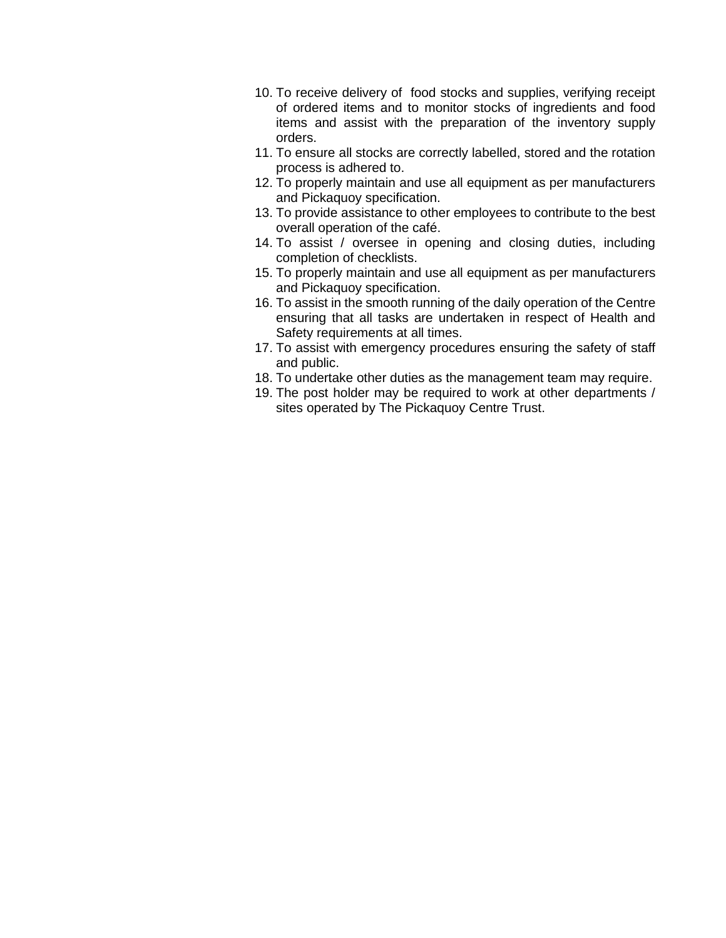- 10. To receive delivery of food stocks and supplies, verifying receipt of ordered items and to monitor stocks of ingredients and food items and assist with the preparation of the inventory supply orders.
- 11. To ensure all stocks are correctly labelled, stored and the rotation process is adhered to.
- 12. To properly maintain and use all equipment as per manufacturers and Pickaquoy specification.
- 13. To provide assistance to other employees to contribute to the best overall operation of the café.
- 14. To assist / oversee in opening and closing duties, including completion of checklists.
- 15. To properly maintain and use all equipment as per manufacturers and Pickaquoy specification.
- 16. To assist in the smooth running of the daily operation of the Centre ensuring that all tasks are undertaken in respect of Health and Safety requirements at all times.
- 17. To assist with emergency procedures ensuring the safety of staff and public.
- 18. To undertake other duties as the management team may require.
- 19. The post holder may be required to work at other departments / sites operated by The Pickaquoy Centre Trust.